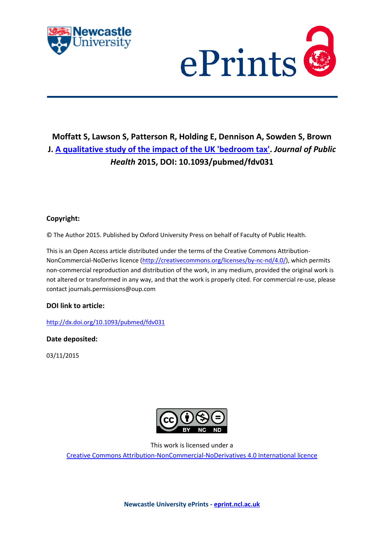



# **Moffatt S, Lawson S, Patterson R, Holding E, Dennison A, Sowden S, Brown J. [A qualitative study of the impact of the UK 'bedroom tax'.](javascript:ViewPublication(211572);)** *Journal of Public Health* **2015, DOI: 10.1093/pubmed/fdv031**

# **Copyright:**

© The Author 2015. Published by Oxford University Press on behalf of Faculty of Public Health.

This is an Open Access article distributed under the terms of the Creative Commons Attribution-NonCommercial-NoDerivs licence [\(http://creativecommons.org/licenses/by-nc-nd/4.0/\)](http://creativecommons.org/licenses/by-nc-nd/4.0/), which permits non-commercial reproduction and distribution of the work, in any medium, provided the original work is not altered or transformed in any way, and that the work is properly cited. For commercial re-use, please contact journals.permissions@oup.com

# **DOI link to article:**

<http://dx.doi.org/10.1093/pubmed/fdv031>

**Date deposited:** 

03/11/2015



This work is licensed under a

[Creative Commons Attribution-NonCommercial-NoDerivatives 4.0 International licence](https://creativecommons.org/licenses/by-nc-nd/4.0/)

**Newcastle University ePrints - [eprint.ncl.ac.uk](http://eprint.ncl.ac.uk/)**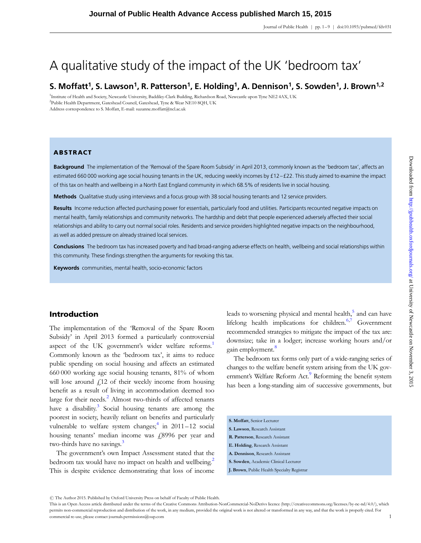# A qualitative study of the impact of the UK 'bedroom tax'

# S. Moffatt<sup>1</sup>, S. Lawson<sup>1</sup>, R. Patterson<sup>1</sup>, E. Holding<sup>1</sup>, A. Dennison<sup>1</sup>, S. Sowden<sup>1</sup>, J. Brown<sup>1,2</sup>

<sup>1</sup>Institute of Health and Society, Newcastle University, Baddiley-Clark Building, Richardson Road, Newcastle upon Tyne NE2 4AX, UK <sup>2</sup>Public Health Department, Gateshead Council, Gateshead, Tyne & Wear NE10 8QH, UK Address correspondence to S. Moffatt, E-mail: suzanne.moffatt@ncl.ac.uk

# ABSTRACT

Background The implementation of the 'Removal of the Spare Room Subsidy' in April 2013, commonly known as the 'bedroom tax', affects an estimated 660 000 working age social housing tenants in the UK, reducing weekly incomes by £12–£22. This study aimed to examine the impact of this tax on health and wellbeing in a North East England community in which 68.5% of residents live in social housing.

Methods Qualitative study using interviews and a focus group with 38 social housing tenants and 12 service providers.

Results Income reduction affected purchasing power for essentials, particularly food and utilities. Participants recounted negative impacts on mental health, family relationships and community networks. The hardship and debt that people experienced adversely affected their social relationships and ability to carry out normal social roles. Residents and service providers highlighted negative impacts on the neighbourhood, as well as added pressure on already strained local services.

Conclusions The bedroom tax has increased poverty and had broad-ranging adverse effects on health, wellbeing and social relationships within this community. These findings strengthen the arguments for revoking this tax.

Keywords communities, mental health, socio-economic factors

# Introduction

The implementation of the 'Removal of the Spare Room Subsidy' in April 2013 formed a particularly controversial aspect of the UK government's wider welfare reforms.<sup>1</sup> Commonly known as the 'bedroom tax', it aims to reduce public spending on social housing and affects an estimated 660 000 working age social housing tenants, 81% of whom will lose around  $f(12)$  of their weekly income from housing benefit as a result of living in accommodation deemed too large for their needs. $<sup>2</sup>$  $<sup>2</sup>$  $<sup>2</sup>$  Almost two-thirds of affected tenants</sup> have a disability. $3$  Social housing tenants are among the poorest in society, heavily reliant on benefits and particularly vulnerable to welfare system changes;<sup>[4](#page-8-0)</sup> in  $2011 - 12$  social housing tenants' median income was £8996 per year and two-thirds have no savings.<sup>[3](#page-8-0)</sup>

The government's own Impact Assessment stated that the bedroom tax would have no impact on health and wellbeing.<sup>2</sup> This is despite evidence demonstrating that loss of income leads to worsening physical and mental health,<sup>[5](#page-8-0)</sup> and can have lifelong health implications for children. $6,7$  Government recommended strategies to mitigate the impact of the tax are: downsize; take in a lodger; increase working hours and/or gain employment.<sup>8</sup>

The bedroom tax forms only part of a wide-ranging series of changes to the welfare benefit system arising from the UK gov-ernment's Welfare Reform Act.<sup>[9](#page-8-0)</sup> Reforming the benefit system has been a long-standing aim of successive governments, but

| S. Moffatt, Senior Lecturer                 |
|---------------------------------------------|
| S. Lawson, Research Assistant               |
| R. Patterson, Research Assistant            |
| <b>E. Holding, Research Assistant</b>       |
| A. Dennison, Research Assistant             |
| S. Sowden, Academic Clinical Lecturer       |
| J. Brown, Public Health Specialty Registrar |
|                                             |

 $\odot$  The Author 2015. Published by Oxford University Press on behalf of Faculty of Public Health.

This is an Open Access article distributed under the terms of the Creative Commons Attribution-NonCommercial-NoDerivs licence (<http://creativecommons.org/licenses/by-nc-nd/4.0/>), which permits non-commercial reproduction and distribution of the work, in any medium, provided the original work is not altered or transformed in any way, and that the work is properly cited. For commercial re-use, please contact journals.permissions@oup.com 1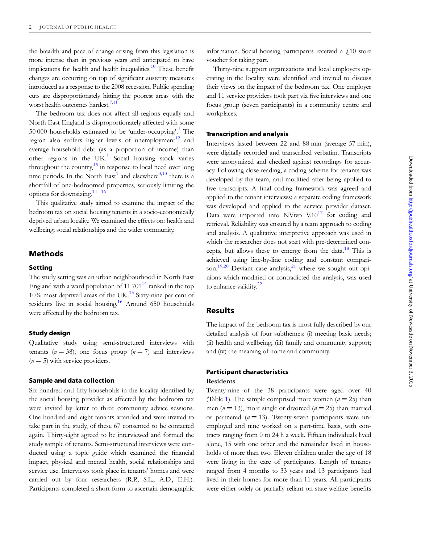the breadth and pace of change arising from this legislation is more intense than in previous years and anticipated to have implications for health and health inequalities.<sup>10</sup> These benefit changes are occurring on top of significant austerity measures introduced as a response to the 2008 recession. Public spending cuts are disproportionately hitting the poorest areas with the worst health outcomes hardest.<sup>7,11</sup>

The bedroom tax does not affect all regions equally and North East England is disproportionately affected with some  $50000$  households estimated to be 'under-occupying'.<sup>[1](#page-8-0)</sup> The region also suffers higher levels of unemployment $12$  and average household debt (as a proportion of income) than other regions in the  $UK<sup>1</sup>$  Social housing stock varies throughout the country,  $13$  in response to local need over long time periods. In the North  $East<sup>1</sup>$  $East<sup>1</sup>$  $East<sup>1</sup>$  and elsewhere<sup>[3](#page-8-0),[13](#page-8-0)</sup> there is a shortfall of one-bedroomed properties, seriously limiting the options for downsizing. $14 - 16$  $14 - 16$  $14 - 16$ 

This qualitative study aimed to examine the impact of the bedroom tax on social housing tenants in a socio-economically deprived urban locality. We examined the effects on: health and wellbeing; social relationships and the wider community.

# Methods

#### Setting

The study setting was an urban neighbourhood in North East England with a ward population of 11  $701<sup>14</sup>$  $701<sup>14</sup>$  $701<sup>14</sup>$  ranked in the top  $10\%$  most deprived areas of the UK.<sup>[15](#page-8-0)</sup> Sixty-nine per cent of residents live in social housing.<sup>[16](#page-8-0)</sup> Around 650 households were affected by the bedroom tax.

# Study design

Qualitative study using semi-structured interviews with tenants ( $n = 38$ ), one focus group ( $n = 7$ ) and interviews  $(n = 5)$  with service providers.

### Sample and data collection

Six hundred and fifty households in the locality identified by the social housing provider as affected by the bedroom tax were invited by letter to three community advice sessions. One hundred and eight tenants attended and were invited to take part in the study, of these 67 consented to be contacted again. Thirty-eight agreed to be interviewed and formed the study sample of tenants. Semi-structured interviews were conducted using a topic guide which examined the financial impact, physical and mental health, social relationships and service use. Interviews took place in tenants' homes and were carried out by four researchers (R.P., S.L., A.D., E.H.). Participants completed a short form to ascertain demographic information. Social housing participants received a  $\mathcal{L}10$  store voucher for taking part.

Thirty-nine support organizations and local employers operating in the locality were identified and invited to discuss their views on the impact of the bedroom tax. One employer and 11 service providers took part via five interviews and one focus group (seven participants) in a community centre and workplaces.

## Transcription and analysis

Interviews lasted between 22 and 88 min (average 57 min), were digitally recorded and transcribed verbatim. Transcripts were anonymized and checked against recordings for accuracy. Following close reading, a coding scheme for tenants was developed by the team, and modified after being applied to five transcripts. A final coding framework was agreed and applied to the tenant interviews; a separate coding framework was developed and applied to the service provider dataset. Data were imported into NVivo  $V.10^{17}$  $V.10^{17}$  $V.10^{17}$  for coding and retrieval. Reliability was ensured by a team approach to coding and analysis. A qualitative interpretive approach was used in which the researcher does not start with pre-determined con-cepts, but allows these to emerge from the data.<sup>[18](#page-8-0)</sup> This is achieved using line-by-line coding and constant compari-son.<sup>[19,20](#page-8-0)</sup> Deviant case analysis, $^{21}$  $^{21}$  $^{21}$  where we sought out opinions which modified or contradicted the analysis, was used to enhance validity. $22$ 

# **Results**

The impact of the bedroom tax is most fully described by our detailed analysis of four subthemes: (i) meeting basic needs; (ii) health and wellbeing; (iii) family and community support; and (iv) the meaning of home and community.

# Participant characteristics Residents

Twenty-nine of the 38 participants were aged over 40 (Table [1](#page-3-0)). The sample comprised more women  $(n = 25)$  than men ( $n = 13$ ), more single or divorced ( $n = 25$ ) than married or partnered  $(n = 13)$ . Twenty-seven participants were unemployed and nine worked on a part-time basis, with contracts ranging from 0 to 24 h a week. Fifteen individuals lived alone, 15 with one other and the remainder lived in households of more than two. Eleven children under the age of 18 were living in the care of participants. Length of tenancy ranged from 4 months to 33 years and 13 participants had lived in their homes for more than 11 years. All participants were either solely or partially reliant on state welfare benefits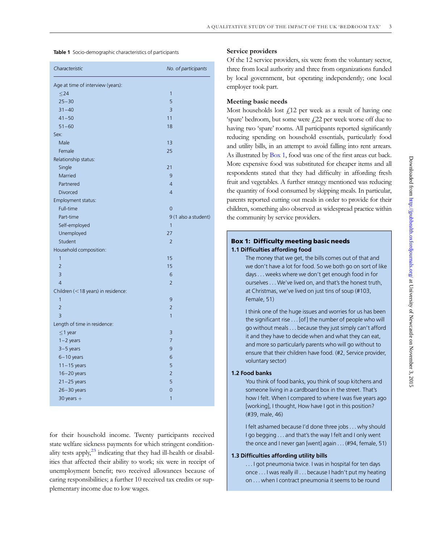#### <span id="page-3-0"></span>Table 1 Socio-demographic characteristics of participants

| Characteristic                     | No. of participants  |
|------------------------------------|----------------------|
| Age at time of interview (years):  |                      |
| $24$                               | $\overline{1}$       |
| $25 - 30$                          | 5                    |
| $31 - 40$                          | 3                    |
| $41 - 50$                          | 11                   |
| $51 - 60$                          | 18                   |
| Sex:                               |                      |
| Male                               | 13                   |
| Female                             | 25                   |
| Relationship status:               |                      |
| Single                             | 21                   |
| Married                            | 9                    |
| Partnered                          | $\overline{4}$       |
| <b>Divorced</b>                    | $\overline{4}$       |
| Employment status:                 |                      |
| Full-time                          | $\Omega$             |
| Part-time                          | 9 (1 also a student) |
| Self-employed                      | $\mathbf{1}$         |
| Unemployed                         | 27                   |
| Student                            | $\overline{2}$       |
| Household composition:             |                      |
| 1                                  | 15                   |
| $\overline{2}$                     | 15                   |
| 3                                  | 6                    |
| $\overline{4}$                     | $\overline{2}$       |
| Children (<18 years) in residence: |                      |
| $\overline{1}$                     | 9                    |
| $\overline{2}$                     | $\overline{2}$       |
| 3                                  | $\mathbf{1}$         |
| Length of time in residence:       |                      |
| $\leq$ 1 year                      | 3                    |
| $1 - 2$ years                      | $\overline{7}$       |
| $3-5$ years                        | 9                    |
| $6 - 10$ years                     | 6                    |
| $11 - 15$ years                    | 5                    |
| $16 - 20$ years                    | $\overline{2}$       |
| $21 - 25$ years                    | 5                    |
| $26 - 30$ years                    | $\overline{0}$       |
| $30$ years $+$                     | $\overline{1}$       |

for their household income. Twenty participants received state welfare sickness payments for which stringent conditionality tests apply,<sup>23</sup> indicating that they had ill-health or disabilities that affected their ability to work; six were in receipt of unemployment benefit; two received allowances because of caring responsibilities; a further 10 received tax credits or supplementary income due to low wages.

# Service providers

Of the 12 service providers, six were from the voluntary sector, three from local authority and three from organizations funded by local government, but operating independently; one local employer took part.

# Meeting basic needs

Most households lost  $f<sub>12</sub>$  per week as a result of having one 'spare' bedroom, but some were £22 per week worse off due to having two 'spare' rooms. All participants reported significantly reducing spending on household essentials, particularly food and utility bills, in an attempt to avoid falling into rent arrears. As illustrated by Box 1, food was one of the first areas cut back. More expensive food was substituted for cheaper items and all respondents stated that they had difficulty in affording fresh fruit and vegetables. A further strategy mentioned was reducing the quantity of food consumed by skipping meals. In particular, parents reported cutting out meals in order to provide for their children, something also observed as widespread practice within the community by service providers.

# Box 1: Difficulty meeting basic needs 1.1 Difficulties affording food

The money that we get, the bills comes out of that and we don't have a lot for food. So we both go on sort of like days ... weeks where we don't get enough food in for ourselves ... We've lived on, and that's the honest truth, at Christmas, we've lived on just tins of soup (#103, Female, 51)

I think one of the huge issues and worries for us has been the significant rise ... [of] the number of people who will go without meals ... because they just simply can't afford it and they have to decide when and what they can eat, and more so particularly parents who will go without to ensure that their children have food. (#2, Service provider, voluntary sector)

#### 1.2 Food banks

You think of food banks, you think of soup kitchens and someone living in a cardboard box in the street. That's how I felt. When I compared to where I was five years ago [working], I thought, How have I got in this position? (#39, male, 46)

I felt ashamed because I'd done three jobs ... why should I go begging ... and that's the way I felt and I only went the once and I never gan [went] again ... (#94, female, 51)

#### 1.3 Difficulties affording utility bills

... I got pneumonia twice. I was in hospital for ten days once ... I was really ill ... because I hadn't put my heating on ... when I contract pneumonia it seems to be round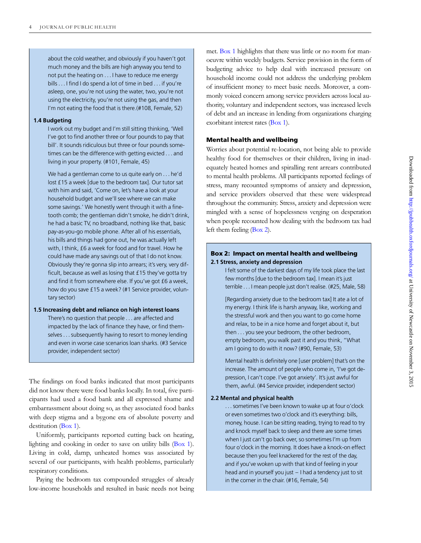about the cold weather, and obviously if you haven't got much money and the bills are high anyway you tend to not put the heating on ... I have to reduce me energy bills ... I find I do spend a lot of time in bed ... if you're asleep, one, you're not using the water, two, you're not using the electricity, you're not using the gas, and then I'm not eating the food that is there.(#108, Female, 52)

# 1.4 Budgeting

I work out my budget and I'm still sitting thinking, 'Well I've got to find another three or four pounds to pay that bill'. It sounds ridiculous but three or four pounds sometimes can be the difference with getting evicted ... and living in your property. (#101, Female, 45)

We had a gentleman come to us quite early on ... he'd lost £15 a week [due to the bedroom tax]. Our tutor sat with him and said, 'Come on, let's have a look at your household budget and we'll see where we can make some savings.' We honestly went through it with a finetooth comb; the gentleman didn't smoke, he didn't drink, he had a basic TV, no broadband, nothing like that, basic pay-as-you-go mobile phone. After all of his essentials, his bills and things had gone out, he was actually left with, I think, £6 a week for food and for travel. How he could have made any savings out of that I do not know. Obviously they're gonna slip into arrears; it's very, very difficult, because as well as losing that £15 they've gotta try and find it from somewhere else. If you've got £6 a week, how do you save £15 a week? (#1 Service provider, voluntary sector)

1.5 Increasing debt and reliance on high interest loans There's no question that people ... are affected and impacted by the lack of finance they have, or find themselves ... subsequently having to resort to money lending and even in worse case scenarios loan sharks. (#3 Service provider, independent sector)

The findings on food banks indicated that most participants did not know there were food banks locally. In total, five participants had used a food bank and all expressed shame and embarrassment about doing so, as they associated food banks with deep stigma and a bygone era of absolute poverty and destitution (Box 1).

Uniformly, participants reported cutting back on heating, lighting and cooking in order to save on utility bills (Box 1). Living in cold, damp, unheated homes was associated by several of our participants, with health problems, particularly respiratory conditions.

Paying the bedroom tax compounded struggles of already low-income households and resulted in basic needs not being met. Box 1 highlights that there was little or no room for manoeuvre within weekly budgets. Service provision in the form of budgeting advice to help deal with increased pressure on household income could not address the underlying problem of insufficient money to meet basic needs. Moreover, a commonly voiced concern among service providers across local authority, voluntary and independent sectors, was increased levels of debt and an increase in lending from organizations charging exorbitant interest rates (Box 1).

### Mental health and wellbeing

Worries about potential re-location, not being able to provide healthy food for themselves or their children, living in inadequately heated homes and spiralling rent arrears contributed to mental health problems. All participants reported feelings of stress, many recounted symptoms of anxiety and depression, and service providers observed that these were widespread throughout the community. Stress, anxiety and depression were mingled with a sense of hopelessness verging on desperation when people recounted how dealing with the bedroom tax had left them feeling (Box 2).

# Box 2: Impact on mental health and wellbeing 2.1 Stress, anxiety and depression

I felt some of the darkest days of my life took place the last few months [due to the bedroom tax]. I mean it's just terrible ... I mean people just don't realise. (#25, Male, 58)

[Regarding anxiety due to the bedroom tax] It ate a lot of my energy. I think life is harsh anyway, like, working and the stressful work and then you want to go come home and relax, to be in a nice home and forget about it, but then ... you see your bedroom, the other bedroom, empty bedroom, you walk past it and you think, "What am I going to do with it now? (#90, Female, 53)

Mental health is definitely one [user problem] that's on the increase. The amount of people who come in, 'I've got depression, I can't cope. I've got anxiety'. It's just awful for them, awful. (#4 Service provider, independent sector)

#### 2.2 Mental and physical health

... sometimes I've been known to wake up at four o'clock or even sometimes two o'clock and it's everything: bills, money, house. I can be sitting reading, trying to read to try and knock myself back to sleep and there are some times when I just can't go back over, so sometimes I'm up from four o'clock in the morning. It does have a knock-on effect because then you feel knackered for the rest of the day, and if you've woken up with that kind of feeling in your head and in yourself you just – I had a tendency just to sit in the corner in the chair. (#16, Female, 54)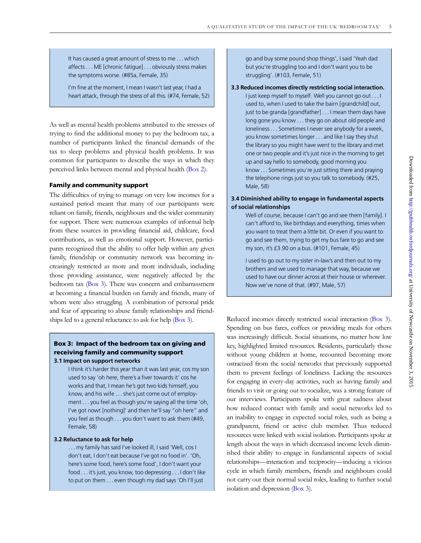It has caused a great amount of stress to me ... which affects ... ME [chronic fatigue] ... obviously stress makes the symptoms worse. (#85a, Female, 35)

I'm fine at the moment, I mean I wasn't last year, I had a heart attack, through the stress of all this. (#74, Female, 52)

As well as mental health problems attributed to the stresses of trying to find the additional money to pay the bedroom tax, a number of participants linked the financial demands of the tax to sleep problems and physical health problems. It was common for participants to describe the ways in which they perceived links between mental and physical health (Box 2).

# Family and community support

The difficulties of trying to manage on very low incomes for a sustained period meant that many of our participants were reliant on family, friends, neighbours and the wider community for support. There were numerous examples of informal help from these sources in providing financial aid, childcare, food contributions, as well as emotional support. However, participants recognized that the ability to offer help within any given family, friendship or community network was becoming increasingly restricted as more and more individuals, including those providing assistance, were negatively affected by the bedroom tax (Box 3). There was concern and embarrassment at becoming a financial burden on family and friends, many of whom were also struggling. A combination of personal pride and fear of appearing to abuse family relationships and friendships led to a general reluctance to ask for help (Box 3).

# Box 3: Impact of the bedroom tax on giving and receiving family and community support

3.1 Impact on support networks

I think it's harder this year than it was last year, cos my son used to say 'oh here, there's a fiver towards it' cos he works and that, I mean he's got two kids himself, you know, and his wife ... she's just come out of employment ... you feel as though you're saying all the time 'oh, I've got nowt [nothing]' and then he'll say "oh here" and you feel as though ... you don't want to ask them (#49, Female, 58)

#### 3.2 Reluctance to ask for help

... my family has said I've looked ill, I said 'Well, cos I don't eat, I don't eat because I've got no food in'. 'Oh, here's some food, here's some food', I don't want your food ... it's just, you know, too depressing ... I don't like to put on them ... even though my dad says 'Oh I'll just

go and buy some pound shop things', I said 'Yeah dad but you're struggling too and I don't want you to be struggling'. (#103, Female, 51)

# 3.3 Reduced incomes directly restricting social interaction.

I just keep myself to myself. Well you cannot go out ... I used to, when I used to take the bairn [grandchild] out, just to be granda [grandfather] . . . I mean them days have long gone you know ... they go on about old people and loneliness ... Sometimes I never see anybody for a week, you know sometimes longer ... and like I say they shut the library so you might have went to the library and met one or two people and it's just nice in the morning to get up and say hello to somebody, good morning you know ... Sometimes you're just sitting there and praying the telephone rings just so you talk to somebody. (#25, Male, 58)

# 3.4 Diminished ability to engage in fundamental aspects of social relationships

Well of course, because I can't go and see them [family]. I can't afford to, like birthdays and everything, times when you want to treat them a little bit. Or even if you want to go and see them, trying to get my bus fare to go and see my son, it's £3.90 on a bus. (#101, Female, 45)

I used to go out to my sister in-law's and then out to my brothers and we used to manage that way, because we used to have our dinner across at their house or wherever. Now we've none of that. (#97, Male, 57)

Reduced incomes directly restricted social interaction (Box 3). Spending on bus fares, coffees or providing meals for others was increasingly difficult. Social situations, no matter how low key, highlighted limited resources. Residents, particularly those without young children at home, recounted becoming more ostracized from the social networks that previously supported them to prevent feelings of loneliness. Lacking the resources for engaging in every-day activities, such as having family and friends to visit or going out to socialize, was a strong feature of our interviews. Participants spoke with great sadness about how reduced contact with family and social networks led to an inability to engage in expected social roles, such as being a grandparent, friend or active club member. Thus reduced resources were linked with social isolation. Participants spoke at length about the ways in which decreased income levels diminished their ability to engage in fundamental aspects of social relationships—interaction and reciprocity—inducing a vicious cycle in which family members, friends and neighbours could not carry out their normal social roles, leading to further social isolation and depression  $(Box 3)$ .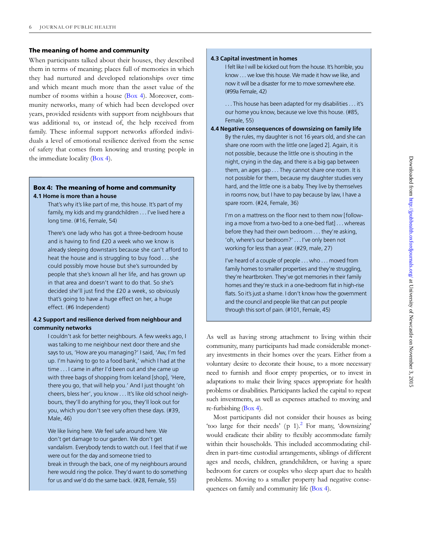# The meaning of home and community

When participants talked about their houses, they described them in terms of meaning; places full of memories in which they had nurtured and developed relationships over time and which meant much more than the asset value of the number of rooms within a house (Box 4). Moreover, community networks, many of which had been developed over years, provided residents with support from neighbours that was additional to, or instead of, the help received from family. These informal support networks afforded individuals a level of emotional resilience derived from the sense of safety that comes from knowing and trusting people in the immediate locality (Box 4).

# Box 4: The meaning of home and community 4.1 Home is more than a house

That's why it's like part of me, this house. It's part of my family, my kids and my grandchildren ... I've lived here a long time. (#16, Female, 54)

There's one lady who has got a three-bedroom house and is having to find £20 a week who we know is already sleeping downstairs because she can't afford to heat the house and is struggling to buy food ... she could possibly move house but she's surrounded by people that she's known all her life, and has grown up in that area and doesn't want to do that. So she's decided she'll just find the £20 a week, so obviously that's going to have a huge effect on her, a huge effect. (#6 Independent)

# 4.2 Support and resilience derived from neighbour and community networks

I couldn't ask for better neighbours. A few weeks ago, I was talking to me neighbour next door there and she says to us, 'How are you managing?' I said, 'Aw, I'm fed up. I'm having to go to a food bank,' which I had at the time ... I came in after I'd been out and she came up with three bags of shopping from Iceland [shop], 'Here, there you go, that will help you.' And I just thought 'oh cheers, bless her', you know ... It's like old school neighbours, they'll do anything for you, they'll look out for you, which you don't see very often these days. (#39, Male, 46)

We like living here. We feel safe around here. We don't get damage to our garden. We don't get vandalism. Everybody tends to watch out. I feel that if we were out for the day and someone tried to break in through the back, one of my neighbours around here would ring the police. They'd want to do something for us and we'd do the same back. (#28, Female, 55)

#### 4.3 Capital investment in homes

I felt like I will be kicked out from the house. It's horrible, you know ... we love this house. We made it how we like, and now it will be a disaster for me to move somewhere else. (#99a Female, 42)

... This house has been adapted for my disabilities ... it's our home you know, because we love this house. (#85, Female, 55)

4.4 Negative consequences of downsizing on family life By the rules, my daughter is not 16 years old, and she can share one room with the little one [aged 2]. Again, it is not possible, because the little one is shouting in the night, crying in the day, and there is a big gap between them, an ages gap ... They cannot share one room. It is not possible for them, because my daughter studies very hard, and the little one is a baby. They live by themselves in rooms now, but I have to pay because by law, I have a spare room. (#24, Female, 36)

I'm on a mattress on the floor next to them now [following a move from a two-bed to a one-bed flat] ... whereas before they had their own bedroom ... they're asking, 'oh, where's our bedroom?' ... I've only been not working for less than a year. (#29, male, 27)

I've heard of a couple of people ... who ... moved from family homes to smaller properties and they're struggling, they're heartbroken. They've got memories in their family homes and they're stuck in a one-bedroom flat in high-rise flats. So it's just a shame. I don't know how the government and the council and people like that can put people through this sort of pain. (#101, Female, 45)

As well as having strong attachment to living within their community, many participants had made considerable monetary investments in their homes over the years. Either from a voluntary desire to decorate their house, to a more necessary need to furnish and floor empty properties, or to invest in adaptations to make their living spaces appropriate for health problems or disabilities. Participants lacked the capital to repeat such investments, as well as expenses attached to moving and re-furbishing (Box 4).

Most participants did not consider their houses as being 'too large for their needs'  $(p 1)$ .<sup>[2](#page-8-0)</sup> For many, 'downsizing' would eradicate their ability to flexibly accommodate family within their households. This included accommodating children in part-time custodial arrangements, siblings of different ages and needs, children, grandchildren, or having a spare bedroom for carers or couples who sleep apart due to health problems. Moving to a smaller property had negative consequences on family and community life (Box 4).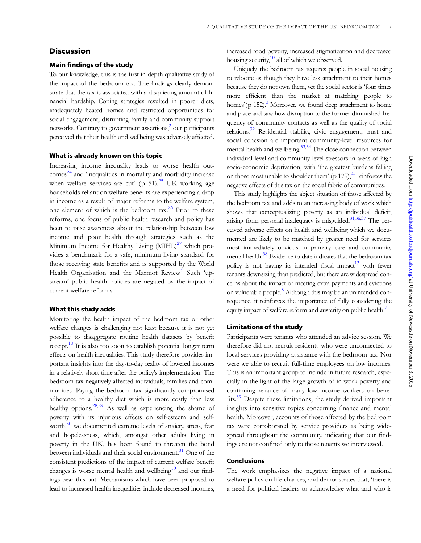# **Discussion**

### Main findings of the study

To our knowledge, this is the first in depth qualitative study of the impact of the bedroom tax. The findings clearly demonstrate that the tax is associated with a disquieting amount of financial hardship. Coping strategies resulted in poorer diets, inadequately heated homes and restricted opportunities for social engagement, disrupting family and community support networks. Contrary to government assertions, $\frac{2}{3}$  $\frac{2}{3}$  $\frac{2}{3}$  our participants perceived that their health and wellbeing was adversely affected.

#### What is already known on this topic

Increasing income inequality leads to worse health out- $\text{comes}^2$  and 'inequalities in mortality and morbidity increase when welfare services are cut' ( $p 51$ ).<sup>[25](#page-9-0)</sup> UK working age households reliant on welfare benefits are experiencing a drop in income as a result of major reforms to the welfare system, one element of which is the bedroom tax.<sup>[26](#page-9-0)</sup> Prior to these reforms, one focus of public health research and policy has been to raise awareness about the relationship between low income and poor health through strategies such as the Minimum Income for Healthy Living  $(MIHL)^{27}$  $(MIHL)^{27}$  $(MIHL)^{27}$  which provides a benchmark for a safe, minimum living standard for those receiving state benefits and is supported by the World Health Organisation and the Marmot Review.<sup>5</sup> Such 'upstream' public health policies are negated by the impact of current welfare reforms.

#### What this study adds

Monitoring the health impact of the bedroom tax or other welfare changes is challenging not least because it is not yet possible to disaggregate routine health datasets by benefit receipt.<sup>10</sup> It is also too soon to establish potential longer term effects on health inequalities. This study therefore provides important insights into the day-to-day reality of lowered incomes in a relatively short time after the policy's implementation. The bedroom tax negatively affected individuals, families and communities. Paying the bedroom tax significantly compromised adherence to a healthy diet which is more costly than less healthy options.<sup>28,29</sup> As well as experiencing the shame of poverty with its injurious effects on self-esteem and self-worth,<sup>[30](#page-9-0)</sup> we documented extreme levels of anxiety, stress, fear and hopelessness, which, amongst other adults living in poverty in the UK, has been found to threaten the bond between individuals and their social environment.<sup>31</sup> One of the consistent predictions of the impact of current welfare benefit changes is worse mental health and wellbeing $10$  and our findings bear this out. Mechanisms which have been proposed to lead to increased health inequalities include decreased incomes,

increased food poverty, increased stigmatization and decreased housing security, $10$  all of which we observed.

Uniquely, the bedroom tax requires people in social housing to relocate as though they have less attachment to their homes because they do not own them, yet the social sector is 'four times more efficient than the market at matching people to homes'( $p$  152).<sup>3</sup> Moreover, we found deep attachment to home and place and saw how disruption to the former diminished frequency of community contacts as well as the quality of social relations.[32](#page-9-0) Residential stability, civic engagement, trust and social cohesion are important community-level resources for mental health and wellbeing.<sup>33,[34](#page-9-0)</sup> The close connection between individual-level and community-level stressors in areas of high socio-economic deprivation, with 'the greatest burdens falling on those most unable to shoulder them' (p  $179$ ),  $35$  reinforces the negative effects of this tax on the social fabric of communities.

This study highlights the abject situation of those affected by the bedroom tax and adds to an increasing body of work which shows that conceptualizing poverty as an individual deficit, arising from personal inadequacy is misguided. $31,36,37$  $31,36,37$  The perceived adverse effects on health and wellbeing which we documented are likely to be matched by greater need for services most immediately obvious in primary care and community mental health.<sup>38</sup> Evidence to date indicates that the bedroom tax policy is not having its intended fiscal impact<sup>13</sup> with fewer tenants downsizing than predicted, but there are widespread concerns about the impact of meeting extra payments and evictions on vulnerable people.<sup>8</sup> Although this may be an unintended consequence, it reinforces the importance of fully considering the equity impact of welfare reform and austerity on public health.<sup>[7](#page-8-0)</sup>

#### Limitations of the study

Participants were tenants who attended an advice session. We therefore did not recruit residents who were unconnected to local services providing assistance with the bedroom tax. Nor were we able to recruit full-time employees on low incomes. This is an important group to include in future research, especially in the light of the large growth of in-work poverty and continuing reliance of many low income workers on bene-fits.<sup>[39](#page-9-0)</sup> Despite these limitations, the study derived important insights into sensitive topics concerning finance and mental health. Moreover, accounts of those affected by the bedroom tax were corroborated by service providers as being widespread throughout the community, indicating that our findings are not confined only to those tenants we interviewed.

# Conclusions

The work emphasizes the negative impact of a national welfare policy on life chances, and demonstrates that, 'there is a need for political leaders to acknowledge what and who is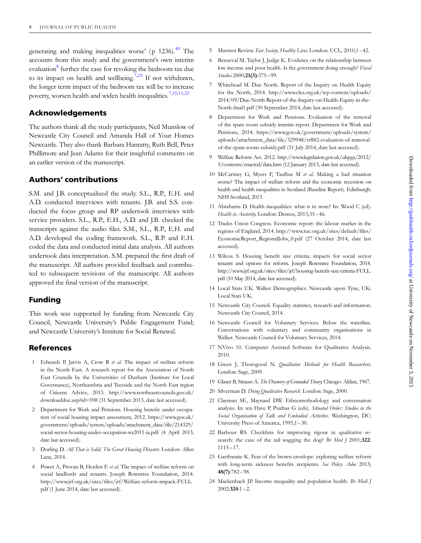<span id="page-8-0"></span>generating and making inequalities worse' ( $p$  1236).<sup>[40](#page-9-0)</sup> The accounts from this study and the government's own interim evaluation<sup>8</sup> further the case for revoking the bedroom tax due to its impact on health and wellbeing.<sup>7[,25](#page-9-0)</sup> If not withdrawn, the longer term impact of the bedroom tax will be to increase poverty, worsen health and widen health inequalities.<sup>7,10,11,[25](#page-9-0)</sup>

# Acknowledgements

The authors thank all the study participants, Neil Munslow of Newcastle City Council and Amanda Hall of Your Homes Newcastle. They also thank Barbara Hanratty, Ruth Bell, Peter Phillimore and Jean Adams for their insightful comments on an earlier version of the manuscript.

# Authors' contributions

S.M. and J.B. conceptualized the study. S.L., R.P., E.H. and A.D. conducted interviews with tenants. J.B. and S.S. conducted the focus group and RP undertook interviews with service providers. S.L., R.P., E.H., A.D. and J.B. checked the transcripts against the audio files. S.M., S.L., R.P., E.H. and A.D. developed the coding framework. S.L., R.P. and E.H. coded the data and conducted initial data analysis. All authors undertook data interpretation. S.M. prepared the first draft of the manuscript. All authors provided feedback and contributed to subsequent revisions of the manuscript. All authors approved the final version of the manuscript.

# Funding

This work was supported by funding from Newcastle City Council, Newcastle University's Public Engagement Fund; and Newcastle University's Institute for Social Renewal.

# References

- 1 Edwards P, Jarvis A, Crow R et al. The impact of welfare reform in the North East. A research report for the Association of North East Councils by the Universities of Durham (Institute for Local Governance), Northumbria and Teesside and the North East region of Citizens Advice, 2013. [http://www.northeastcouncils.gov.uk/](http://www.northeastcouncils.gov.uk/downloaddoc.asp?id=598) [downloaddoc.asp?id=598](http://www.northeastcouncils.gov.uk/downloaddoc.asp?id=598) (31 September 2013, date last accessed).
- 2 Department for Work and Pensions. Housing benefit: under occupation of social housing impact assessment, 2012. [https://www.gov.uk/](https://www.gov.uk/government/uploads/system/uploads/attachment_data/file/214329/social-sector-housing-under-occupation-wr2011-ia.pdf) [government/uploads/system/uploads/attachment\\_data/file/214329/](https://www.gov.uk/government/uploads/system/uploads/attachment_data/file/214329/social-sector-housing-under-occupation-wr2011-ia.pdf) [social-sector-housing-under-occupation-wr2011-ia.pdf](https://www.gov.uk/government/uploads/system/uploads/attachment_data/file/214329/social-sector-housing-under-occupation-wr2011-ia.pdf) (4 April 2013, date last accessed).
- 3 Dorling D. All That is Solid. The Great Housing Disaster. London: Allen Lane, 2014.
- 4 Power A, Provan B, Herden E et al. The impact of welfare reform on social landlords and tenants. Joseph Rowntree Foundation, 2014. [http://www.jrf.org.uk/sites/files/jrf/Welfare-reform-impack-FULL.](http://www.jrf.org.uk/sites/files/jrf/Welfare-reform-impack-FULL.pdf) [pdf](http://www.jrf.org.uk/sites/files/jrf/Welfare-reform-impack-FULL.pdf) (1 June 2014, date last accessed).
- 5 Marmot Review. Fair Society, Healthy Lives. London: UCL, 2010,1-42.
- 6 Benzeval M, Taylor J, Judge K. Evidence on the relationship between low income and poor health. Is the government doing enough? Fiscal Studies 2000;21(3):375-99.
- 7 Whitehead M. Due North. Report of the Inquiry on Health Equity for the North, 2014. [http://www.cles.org.uk/wp-content/uploads/](http://www.cles.org.uk/wp-content/uploads/2014/09/Due-North-Report-of-the-Inquiry-on-Health-Equity-in-the-North-final1.pdf) [2014/09/Due-North-Report-of-the-Inquiry-on-Health-Equity-in-the-](http://www.cles.org.uk/wp-content/uploads/2014/09/Due-North-Report-of-the-Inquiry-on-Health-Equity-in-the-North-final1.pdf)[North-final1.pdf](http://www.cles.org.uk/wp-content/uploads/2014/09/Due-North-Report-of-the-Inquiry-on-Health-Equity-in-the-North-final1.pdf) (30 September 2014, date last accessed).
- 8 Department for Work and Pensions. Evaluation of the removal of the spare room subsidy interim report. Department for Work and Pensions, 2014. [https://www.gov.uk/government/uploads/system/](https://www.gov.uk/government/uploads/system/uploads/attachment_data/file/329948/rr882-evaluation-of-removal-of-the-spare-room-subsidy.pdf) [uploads/attachment\\_data/file/329948/rr882-evaluation-of-removal](https://www.gov.uk/government/uploads/system/uploads/attachment_data/file/329948/rr882-evaluation-of-removal-of-the-spare-room-subsidy.pdf)[of-the-spare-room-subsidy.pdf](https://www.gov.uk/government/uploads/system/uploads/attachment_data/file/329948/rr882-evaluation-of-removal-of-the-spare-room-subsidy.pdf) (31 July 2014, date last accessed).
- 9 Welfare Reform Act. 2012. [http://www.legislation.gov.uk/ukpga/2012/](http://www.legislation.gov.uk/ukpga/2012/5/contents/enacted/data.htm) [5/contents/enacted/data.htm](http://www.legislation.gov.uk/ukpga/2012/5/contents/enacted/data.htm) (12 January 2013, date last accessed).
- 10 McCartney G, Myers F, Taulbut M et al. Making a bad situation worse? The impact of welfare reform and the economic recession on health and health inequalities in Scotland (Baseline Report). Edinburgh: NHS Scotland, 2013.
- 11 Abrahams D. Health inequalities: what is in store? In: Wood C (ed). Health in Austerity. London: Demos, 2013,35-46.
- 12 Trades Union Congress. Economic report: the labour market in the regions of England, 2014. [http://www.tuc.org.uk/sites/default/files/](http://www.tuc.org.uk/sites/default/files/EconomicReport_RegionalJobs_0.pdf) [EconomicReport\\_RegionalJobs\\_0.pdf](http://www.tuc.org.uk/sites/default/files/EconomicReport_RegionalJobs_0.pdf) (27 October 2014, date last accessed).
- 13 Wilcox S. Housing benefit size criteria: impacts for social sector tenants and options for reform. Joseph Rowntree Foundation, 2014. [http://www.jrf.org.uk/sites/files/jrf/housing-benefit-size-criteria-FULL.](http://www.jrf.org.uk/sites/files/jrf/housing-benefit-size-criteria-FULL.pdf) [pdf](http://www.jrf.org.uk/sites/files/jrf/housing-benefit-size-criteria-FULL.pdf) (10 May 2014, date last accessed).
- 14 Local Stats UK. Walker Demographics. Newcastle upon Tyne, UK: Local Stats UK.
- 15 Newcastle City Council. Equality statistics, research and information. Newcastle City Council, 2014.
- 16 Newcastle Council for Voluntary Services. Below the waterline. Conversations with voluntary and community organisations in Walker. Newcastle Council for Voluntary Services, 2014.
- 17 NVivo 10. Computer Assisted Software for Qualitative Analysis. 2010.
- 18 Green J, Thorogood N. Qualitative Methods for Health Researchers. London: Sage, 2009.
- 19 Glaser B, Strauss A. The Discovery of Grounded Theory. Chicago: Aldine, 1967.
- 20 Silverman D. Doing Qualitative Research. London: Sage, 2000.
- 21 Clayman SE, Maynard DW. Ethnomethodology and conversation analysis. In: ten Have P, Psathas G (eds). Situated Order: Studies in the Social Organisation of Talk and Embodied Activities. Washington, DC: University Press of America, 1995,1 –30.
- 22 Barbour RS. Checklists for improving rigour in qualitative research: the case of the tail wagging the dog? Br Med J 2001;322: 1115 –17.
- 23 Garthwaite K. Fear of the brown envelope: exploring welfare reform with long-term sickness benefits recipients. Soc Policy Adm 2013; 48(7):782–98.
- 24 Mackenbach JP. Income inequality and population health. Br Medl J  $2002;324:1-2.$